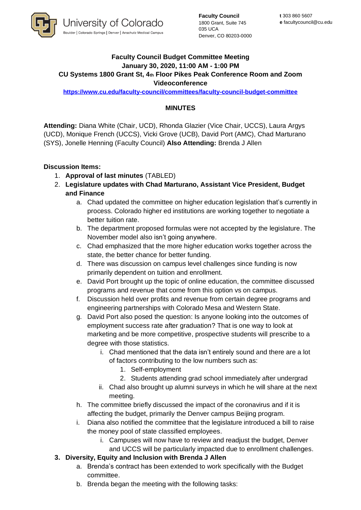

**Faculty Council** 1800 Grant, Suite 745 035 UCA Denver, CO 80203-0000

## **Faculty Council Budget Committee Meeting January 30, 2020, 11:00 AM - 1:00 PM CU Systems 1800 Grant St, 4th Floor Pikes Peak Conference Room and Zoom Videoconference**

**<https://www.cu.edu/faculty-council/committees/faculty-council-budget-committee>**

## **MINUTES**

**Attending:** Diana White (Chair, UCD), Rhonda Glazier (Vice Chair, UCCS), Laura Argys (UCD), Monique French (UCCS), Vicki Grove (UCB), David Port (AMC), Chad Marturano (SYS), Jonelle Henning (Faculty Council) **Also Attending:** Brenda J Allen

## **Discussion Items:**

- 1. **Approval of last minutes** (TABLED)
- 2. **Legislature updates with Chad Marturano, Assistant Vice President, Budget and Finance**
	- a. Chad updated the committee on higher education legislation that's currently in process. Colorado higher ed institutions are working together to negotiate a better tuition rate.
	- b. The department proposed formulas were not accepted by the legislature. The November model also isn't going anywhere.
	- c. Chad emphasized that the more higher education works together across the state, the better chance for better funding.
	- d. There was discussion on campus level challenges since funding is now primarily dependent on tuition and enrollment.
	- e. David Port brought up the topic of online education, the committee discussed programs and revenue that come from this option vs on campus.
	- f. Discussion held over profits and revenue from certain degree programs and engineering partnerships with Colorado Mesa and Western State.
	- g. David Port also posed the question: Is anyone looking into the outcomes of employment success rate after graduation? That is one way to look at marketing and be more competitive, prospective students will prescribe to a degree with those statistics.
		- i. Chad mentioned that the data isn't entirely sound and there are a lot of factors contributing to the low numbers such as:
			- 1. Self-employment
			- 2. Students attending grad school immediately after undergrad
		- ii. Chad also brought up alumni surveys in which he will share at the next meeting.
	- h. The committee briefly discussed the impact of the coronavirus and if it is affecting the budget, primarily the Denver campus Beijing program.
	- i. Diana also notified the committee that the legislature introduced a bill to raise the money pool of state classified employees.
		- i. Campuses will now have to review and readjust the budget, Denver and UCCS will be particularly impacted due to enrollment challenges.
- **3. Diversity, Equity and Inclusion with Brenda J Allen**
	- a. Brenda's contract has been extended to work specifically with the Budget committee.
	- b. Brenda began the meeting with the following tasks: